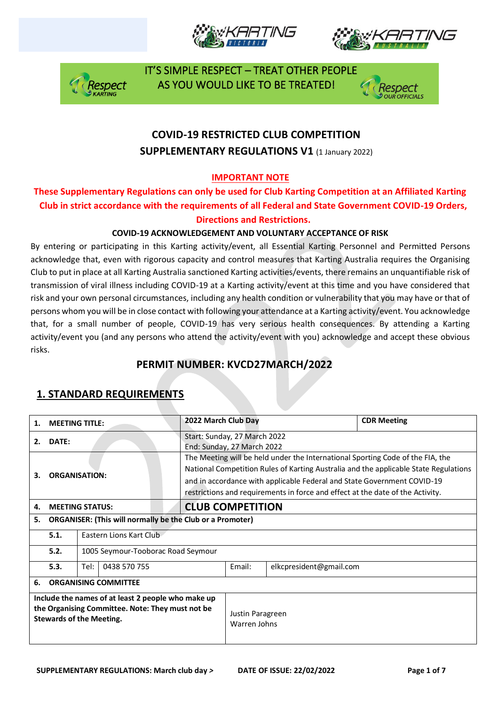







### **COVID-19 RESTRICTED CLUB COMPETITION SUPPLEMENTARY REGULATIONS V1 (1 January 2022)**

#### **IMPORTANT NOTE**

#### **These Supplementary Regulations can only be used for Club Karting Competition at an Affiliated Karting Club in strict accordance with the requirements of all Federal and State Government COVID-19 Orders, Directions and Restrictions.**

#### **COVID-19 ACKNOWLEDGEMENT AND VOLUNTARY ACCEPTANCE OF RISK**

By entering or participating in this Karting activity/event, all Essential Karting Personnel and Permitted Persons acknowledge that, even with rigorous capacity and control measures that Karting Australia requires the Organising Club to put in place at all Karting Australia sanctioned Karting activities/events, there remains an unquantifiable risk of transmission of viral illness including COVID-19 at a Karting activity/event at this time and you have considered that risk and your own personal circumstances, including any health condition or vulnerability that you may have or that of persons whom you will be in close contact with following your attendance at a Karting activity/event. You acknowledge that, for a small number of people, COVID-19 has very serious health consequences. By attending a Karting activity/event you (and any persons who attend the activity/event with you) acknowledge and accept these obvious risks.

#### **PERMIT NUMBER: KVCD27MARCH/2022**

| 1.                                                                                                                                        | <b>MEETING TITLE:</b>       |                                                                                                                                                                                                                                                                                                                                     | 2022 March Club Day                                        |        |                         | <b>CDR Meeting</b> |
|-------------------------------------------------------------------------------------------------------------------------------------------|-----------------------------|-------------------------------------------------------------------------------------------------------------------------------------------------------------------------------------------------------------------------------------------------------------------------------------------------------------------------------------|------------------------------------------------------------|--------|-------------------------|--------------------|
| 2.                                                                                                                                        | DATE:                       |                                                                                                                                                                                                                                                                                                                                     | Start: Sunday, 27 March 2022<br>End: Sunday, 27 March 2022 |        |                         |                    |
| <b>ORGANISATION:</b><br>3.                                                                                                                |                             | The Meeting will be held under the International Sporting Code of the FIA, the<br>National Competition Rules of Karting Australia and the applicable State Regulations<br>and in accordance with applicable Federal and State Government COVID-19<br>restrictions and requirements in force and effect at the date of the Activity. |                                                            |        |                         |                    |
| 4.                                                                                                                                        |                             | <b>MEETING STATUS:</b>                                                                                                                                                                                                                                                                                                              | <b>CLUB COMPETITION</b>                                    |        |                         |                    |
| 5.                                                                                                                                        |                             | <b>ORGANISER: (This will normally be the Club or a Promoter)</b>                                                                                                                                                                                                                                                                    |                                                            |        |                         |                    |
|                                                                                                                                           | 5.1.                        | Eastern Lions Kart Club                                                                                                                                                                                                                                                                                                             |                                                            |        |                         |                    |
|                                                                                                                                           | 5.2.                        | 1005 Seymour-Tooborac Road Seymour                                                                                                                                                                                                                                                                                                  |                                                            |        |                         |                    |
|                                                                                                                                           | 5.3.                        | Tel:<br>0438 570 755                                                                                                                                                                                                                                                                                                                |                                                            | Email: | elkcpresident@gmail.com |                    |
| 6.                                                                                                                                        | <b>ORGANISING COMMITTEE</b> |                                                                                                                                                                                                                                                                                                                                     |                                                            |        |                         |                    |
| Include the names of at least 2 people who make up<br>the Organising Committee. Note: They must not be<br><b>Stewards of the Meeting.</b> |                             |                                                                                                                                                                                                                                                                                                                                     | Justin Paragreen<br>Warren Johns                           |        |                         |                    |

### **1. STANDARD REQUIREMENTS**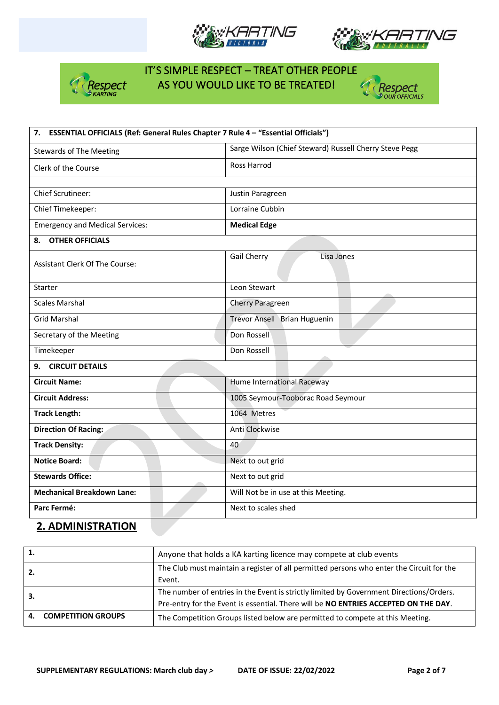







| 7. ESSENTIAL OFFICIALS (Ref: General Rules Chapter 7 Rule 4 - "Essential Officials") |                                                        |  |  |  |
|--------------------------------------------------------------------------------------|--------------------------------------------------------|--|--|--|
| <b>Stewards of The Meeting</b>                                                       | Sarge Wilson (Chief Steward) Russell Cherry Steve Pegg |  |  |  |
| Clerk of the Course                                                                  | <b>Ross Harrod</b>                                     |  |  |  |
|                                                                                      |                                                        |  |  |  |
| <b>Chief Scrutineer:</b>                                                             | Justin Paragreen                                       |  |  |  |
| Chief Timekeeper:                                                                    | Lorraine Cubbin                                        |  |  |  |
| <b>Emergency and Medical Services:</b>                                               | <b>Medical Edge</b>                                    |  |  |  |
| 8. OTHER OFFICIALS                                                                   |                                                        |  |  |  |
| <b>Assistant Clerk Of The Course:</b>                                                | Gail Cherry<br>Lisa Jones                              |  |  |  |
| Starter                                                                              | Leon Stewart                                           |  |  |  |
| <b>Scales Marshal</b>                                                                | Cherry Paragreen                                       |  |  |  |
| <b>Grid Marshal</b>                                                                  | Trevor Ansell Brian Huguenin                           |  |  |  |
| Secretary of the Meeting                                                             | Don Rossell                                            |  |  |  |
| Timekeeper                                                                           | Don Rossell                                            |  |  |  |
| 9. CIRCUIT DETAILS                                                                   |                                                        |  |  |  |
| <b>Circuit Name:</b>                                                                 | Hume International Raceway                             |  |  |  |
| <b>Circuit Address:</b>                                                              | 1005 Seymour-Tooborac Road Seymour                     |  |  |  |
| <b>Track Length:</b>                                                                 | 1064 Metres                                            |  |  |  |
| <b>Direction Of Racing:</b>                                                          | Anti Clockwise                                         |  |  |  |
| <b>Track Density:</b>                                                                | 40                                                     |  |  |  |
| <b>Notice Board:</b>                                                                 | Next to out grid                                       |  |  |  |
| <b>Stewards Office:</b>                                                              | Next to out grid                                       |  |  |  |
| <b>Mechanical Breakdown Lane:</b>                                                    | Will Not be in use at this Meeting.                    |  |  |  |
| Parc Fermé:                                                                          | Next to scales shed                                    |  |  |  |

### **2. ADMINISTRATION**

| 1. |                           | Anyone that holds a KA karting licence may compete at club events                        |
|----|---------------------------|------------------------------------------------------------------------------------------|
|    |                           | The Club must maintain a register of all permitted persons who enter the Circuit for the |
|    |                           | Event.                                                                                   |
|    |                           | The number of entries in the Event is strictly limited by Government Directions/Orders.  |
|    |                           | Pre-entry for the Event is essential. There will be NO ENTRIES ACCEPTED ON THE DAY.      |
| 4. | <b>COMPETITION GROUPS</b> | The Competition Groups listed below are permitted to compete at this Meeting.            |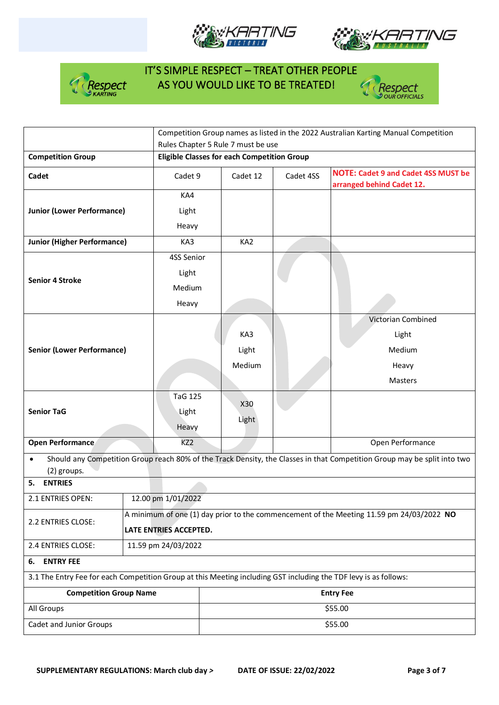







|                                                                                                                  |                        | Competition Group names as listed in the 2022 Australian Karting Manual Competition      |           |                                                                                                                          |  |  |
|------------------------------------------------------------------------------------------------------------------|------------------------|------------------------------------------------------------------------------------------|-----------|--------------------------------------------------------------------------------------------------------------------------|--|--|
|                                                                                                                  |                        | Rules Chapter 5 Rule 7 must be use<br><b>Eligible Classes for each Competition Group</b> |           |                                                                                                                          |  |  |
| <b>Competition Group</b>                                                                                         |                        |                                                                                          |           |                                                                                                                          |  |  |
| Cadet                                                                                                            | Cadet 9                | Cadet 12                                                                                 | Cadet 4SS | <b>NOTE: Cadet 9 and Cadet 4SS MUST be</b><br>arranged behind Cadet 12.                                                  |  |  |
|                                                                                                                  | KA4                    |                                                                                          |           |                                                                                                                          |  |  |
| <b>Junior (Lower Performance)</b>                                                                                | Light                  |                                                                                          |           |                                                                                                                          |  |  |
|                                                                                                                  | Heavy                  |                                                                                          |           |                                                                                                                          |  |  |
| <b>Junior (Higher Performance)</b>                                                                               | KA3                    | KA <sub>2</sub>                                                                          |           |                                                                                                                          |  |  |
|                                                                                                                  | 4SS Senior             |                                                                                          |           |                                                                                                                          |  |  |
| <b>Senior 4 Stroke</b>                                                                                           | Light                  |                                                                                          |           |                                                                                                                          |  |  |
|                                                                                                                  | Medium                 |                                                                                          |           |                                                                                                                          |  |  |
|                                                                                                                  | Heavy                  |                                                                                          |           |                                                                                                                          |  |  |
|                                                                                                                  |                        |                                                                                          |           | Victorian Combined                                                                                                       |  |  |
|                                                                                                                  |                        | KA3                                                                                      |           | Light                                                                                                                    |  |  |
| <b>Senior (Lower Performance)</b>                                                                                |                        | Light                                                                                    |           | Medium                                                                                                                   |  |  |
|                                                                                                                  |                        | Medium                                                                                   |           | Heavy                                                                                                                    |  |  |
|                                                                                                                  |                        |                                                                                          |           | Masters                                                                                                                  |  |  |
|                                                                                                                  | <b>TaG 125</b>         | X30                                                                                      |           |                                                                                                                          |  |  |
| <b>Senior TaG</b>                                                                                                | Light                  |                                                                                          |           |                                                                                                                          |  |  |
|                                                                                                                  | Heavy                  | Light                                                                                    |           |                                                                                                                          |  |  |
| <b>Open Performance</b>                                                                                          | KZ <sub>2</sub>        |                                                                                          |           | Open Performance                                                                                                         |  |  |
| $\bullet$<br>(2) groups.                                                                                         |                        |                                                                                          |           | Should any Competition Group reach 80% of the Track Density, the Classes in that Competition Group may be split into two |  |  |
| <b>ENTRIES</b><br>5.                                                                                             |                        |                                                                                          |           |                                                                                                                          |  |  |
| 2.1 ENTRIES OPEN:                                                                                                | 12.00 pm 1/01/2022     |                                                                                          |           |                                                                                                                          |  |  |
| 2.2 ENTRIES CLOSE:                                                                                               |                        | A minimum of one (1) day prior to the commencement of the Meeting 11.59 pm 24/03/2022 NO |           |                                                                                                                          |  |  |
|                                                                                                                  | LATE ENTRIES ACCEPTED. |                                                                                          |           |                                                                                                                          |  |  |
| 2.4 ENTRIES CLOSE:                                                                                               | 11.59 pm 24/03/2022    |                                                                                          |           |                                                                                                                          |  |  |
| <b>ENTRY FEE</b><br>6.                                                                                           |                        |                                                                                          |           |                                                                                                                          |  |  |
| 3.1 The Entry Fee for each Competition Group at this Meeting including GST including the TDF levy is as follows: |                        |                                                                                          |           |                                                                                                                          |  |  |
| <b>Competition Group Name</b>                                                                                    |                        | <b>Entry Fee</b>                                                                         |           |                                                                                                                          |  |  |
| All Groups                                                                                                       |                        | \$55.00                                                                                  |           |                                                                                                                          |  |  |
| Cadet and Junior Groups                                                                                          |                        | \$55.00                                                                                  |           |                                                                                                                          |  |  |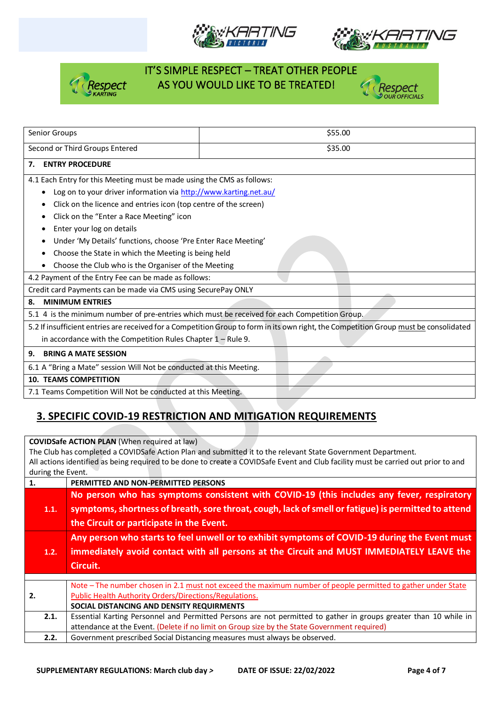







| Senior Groups                                                                                 | \$55.00                                                                                                                               |  |  |  |  |  |
|-----------------------------------------------------------------------------------------------|---------------------------------------------------------------------------------------------------------------------------------------|--|--|--|--|--|
| Second or Third Groups Entered                                                                | \$35.00                                                                                                                               |  |  |  |  |  |
| <b>ENTRY PROCEDURE</b><br>7.                                                                  |                                                                                                                                       |  |  |  |  |  |
| 4.1 Each Entry for this Meeting must be made using the CMS as follows:                        |                                                                                                                                       |  |  |  |  |  |
| Log on to your driver information via http://www.karting.net.au/                              |                                                                                                                                       |  |  |  |  |  |
| Click on the licence and entries icon (top centre of the screen)<br>٠                         |                                                                                                                                       |  |  |  |  |  |
| Click on the "Enter a Race Meeting" icon                                                      |                                                                                                                                       |  |  |  |  |  |
| Enter your log on details                                                                     |                                                                                                                                       |  |  |  |  |  |
| Under 'My Details' functions, choose 'Pre Enter Race Meeting'                                 |                                                                                                                                       |  |  |  |  |  |
| Choose the State in which the Meeting is being held                                           |                                                                                                                                       |  |  |  |  |  |
| Choose the Club who is the Organiser of the Meeting                                           |                                                                                                                                       |  |  |  |  |  |
| 4.2 Payment of the Entry Fee can be made as follows:                                          |                                                                                                                                       |  |  |  |  |  |
| Credit card Payments can be made via CMS using SecurePay ONLY                                 |                                                                                                                                       |  |  |  |  |  |
| <b>MINIMUM ENTRIES</b><br>8.                                                                  |                                                                                                                                       |  |  |  |  |  |
| 5.1 4 is the minimum number of pre-entries which must be received for each Competition Group. |                                                                                                                                       |  |  |  |  |  |
|                                                                                               | 5.2 If insufficient entries are received for a Competition Group to form in its own right, the Competition Group must be consolidated |  |  |  |  |  |
| in accordance with the Competition Rules Chapter $1 -$ Rule 9.                                |                                                                                                                                       |  |  |  |  |  |
| <b>BRING A MATE SESSION</b><br>9.                                                             |                                                                                                                                       |  |  |  |  |  |
| 6.1 A "Bring a Mate" session Will Not be conducted at this Meeting.                           |                                                                                                                                       |  |  |  |  |  |
| <b>10. TEAMS COMPETITION</b>                                                                  |                                                                                                                                       |  |  |  |  |  |
| 7.1 Teams Competition Will Not be conducted at this Meeting.                                  |                                                                                                                                       |  |  |  |  |  |

### **3. SPECIFIC COVID-19 RESTRICTION AND MITIGATION REQUIREMENTS**

**COVIDSafe ACTION PLAN** (When required at law) The Club has completed a COVIDSafe Action Plan and submitted it to the relevant State Government Department. All actions identified as being required to be done to create a COVIDSafe Event and Club facility must be carried out prior to and during the Event. **1. PERMITTED AND NON-PERMITTED PERSONS 1.1. No person who has symptoms consistent with COVID-19 (this includes any fever, respiratory symptoms, shortness of breath, sore throat, cough, lack of smell or fatigue) is permitted to attend** 

|      | the Circuit or participate in the Event.                                                                                                                                                              |  |  |
|------|-------------------------------------------------------------------------------------------------------------------------------------------------------------------------------------------------------|--|--|
| 1.2. | Any person who starts to feel unwell or to exhibit symptoms of COVID-19 during the Event must<br>immediately avoid contact with all persons at the Circuit and MUST IMMEDIATELY LEAVE the<br>Circuit. |  |  |
|      |                                                                                                                                                                                                       |  |  |
|      | Note - The number chosen in 2.1 must not exceed the maximum number of people permitted to gather under State                                                                                          |  |  |
| 2.   | Public Health Authority Orders/Directions/Regulations.                                                                                                                                                |  |  |
|      | SOCIAL DISTANCING AND DENSITY REQUIRMENTS                                                                                                                                                             |  |  |
| 2.1. | Essential Karting Personnel and Permitted Persons are not permitted to gather in groups greater than 10 while in                                                                                      |  |  |
|      | attendance at the Event. (Delete if no limit on Group size by the State Government required)                                                                                                          |  |  |
| 2.2. | Government prescribed Social Distancing measures must always be observed.                                                                                                                             |  |  |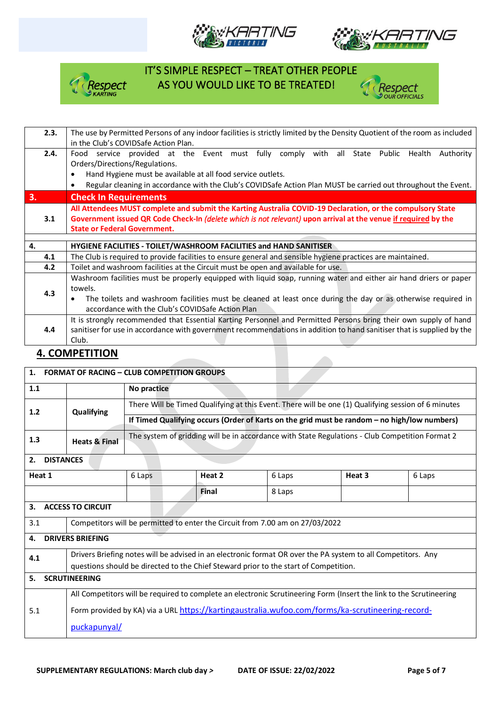







| 2.3. | The use by Permitted Persons of any indoor facilities is strictly limited by the Density Quotient of the room as included |  |  |
|------|---------------------------------------------------------------------------------------------------------------------------|--|--|
|      | in the Club's COVIDSafe Action Plan.                                                                                      |  |  |
| 2.4. | service provided at the Event must fully comply with all<br>State Public<br>Health<br>Authority<br>Food                   |  |  |
|      | Orders/Directions/Regulations.                                                                                            |  |  |
|      | Hand Hygiene must be available at all food service outlets.                                                               |  |  |
|      | Regular cleaning in accordance with the Club's COVIDSafe Action Plan MUST be carried out throughout the Event.            |  |  |
| 3.   | <b>Check In Requirements</b>                                                                                              |  |  |
|      | All Attendees MUST complete and submit the Karting Australia COVID-19 Declaration, or the compulsory State                |  |  |
| 3.1  | Government issued QR Code Check-In (delete which is not relevant) upon arrival at the venue if required by the            |  |  |
|      | <b>State or Federal Government.</b>                                                                                       |  |  |
|      |                                                                                                                           |  |  |
| 4.   | HYGIENE FACILITIES - TOILET/WASHROOM FACILITIES and HAND SANITISER                                                        |  |  |
| 4.1  | The Club is required to provide facilities to ensure general and sensible hygiene practices are maintained.               |  |  |
| 4.2  | Toilet and washroom facilities at the Circuit must be open and available for use.                                         |  |  |
|      | Washroom facilities must be properly equipped with liquid soap, running water and either air hand driers or paper         |  |  |
|      | towels.                                                                                                                   |  |  |
| 4.3  | The toilets and washroom facilities must be cleaned at least once during the day or as otherwise required in              |  |  |
|      | accordance with the Club's COVIDSafe Action Plan                                                                          |  |  |
|      | It is strongly recommended that Essential Karting Personnel and Permitted Persons bring their own supply of hand          |  |  |
| 4.4  | sanitiser for use in accordance with government recommendations in addition to hand sanitiser that is supplied by the     |  |  |
|      | Club.                                                                                                                     |  |  |
|      |                                                                                                                           |  |  |

#### **4. COMPETITION**

| $\mathbf{1}$ .                | <b>FORMAT OF RACING - CLUB COMPETITION GROUPS</b>                                                            |                                                                                                     |        |        |                                                                                                                     |        |
|-------------------------------|--------------------------------------------------------------------------------------------------------------|-----------------------------------------------------------------------------------------------------|--------|--------|---------------------------------------------------------------------------------------------------------------------|--------|
| 1.1                           |                                                                                                              | No practice                                                                                         |        |        |                                                                                                                     |        |
| 1.2                           | Qualifying                                                                                                   | There Will be Timed Qualifying at this Event. There will be one (1) Qualifying session of 6 minutes |        |        |                                                                                                                     |        |
|                               |                                                                                                              | If Timed Qualifying occurs (Order of Karts on the grid must be random - no high/low numbers)        |        |        |                                                                                                                     |        |
| 1.3                           | <b>Heats &amp; Final</b>                                                                                     | The system of gridding will be in accordance with State Regulations - Club Competition Format 2     |        |        |                                                                                                                     |        |
| 2.<br><b>DISTANCES</b>        |                                                                                                              |                                                                                                     |        |        |                                                                                                                     |        |
| Heat 1                        |                                                                                                              | 6 Laps                                                                                              | Heat 2 | 6 Laps | Heat 3                                                                                                              | 6 Laps |
|                               |                                                                                                              |                                                                                                     | Final  | 8 Laps |                                                                                                                     |        |
| 3.                            | <b>ACCESS TO CIRCUIT</b>                                                                                     |                                                                                                     |        |        |                                                                                                                     |        |
| 3.1                           | Competitors will be permitted to enter the Circuit from 7.00 am on 27/03/2022                                |                                                                                                     |        |        |                                                                                                                     |        |
| <b>DRIVERS BRIEFING</b><br>4. |                                                                                                              |                                                                                                     |        |        |                                                                                                                     |        |
| 4.1                           | Drivers Briefing notes will be advised in an electronic format OR over the PA system to all Competitors. Any |                                                                                                     |        |        |                                                                                                                     |        |
|                               | questions should be directed to the Chief Steward prior to the start of Competition.                         |                                                                                                     |        |        |                                                                                                                     |        |
| 5.<br><b>SCRUTINEERING</b>    |                                                                                                              |                                                                                                     |        |        |                                                                                                                     |        |
|                               |                                                                                                              |                                                                                                     |        |        | All Competitors will be required to complete an electronic Scrutineering Form (Insert the link to the Scrutineering |        |
| 5.1                           |                                                                                                              |                                                                                                     |        |        | Form provided by KA) via a URL https://kartingaustralia.wufoo.com/forms/ka-scrutineering-record-                    |        |
|                               | puckapunyal/                                                                                                 |                                                                                                     |        |        |                                                                                                                     |        |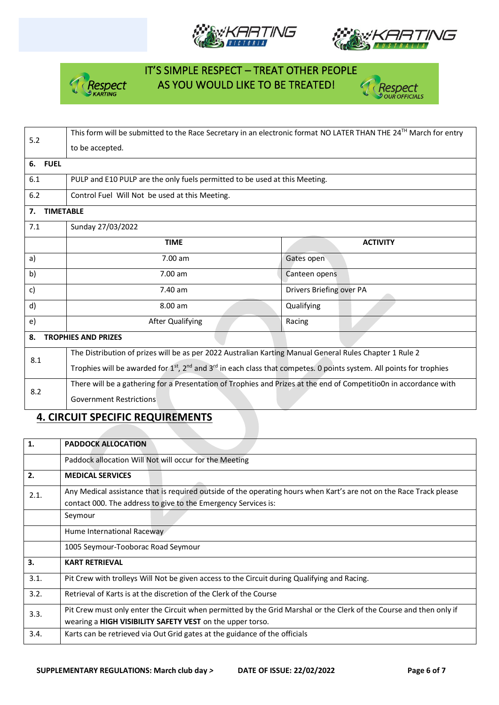







| 5.2                              | This form will be submitted to the Race Secretary in an electronic format NO LATER THAN THE 24TH March for entry                                         |                          |  |  |  |  |  |
|----------------------------------|----------------------------------------------------------------------------------------------------------------------------------------------------------|--------------------------|--|--|--|--|--|
|                                  | to be accepted.                                                                                                                                          |                          |  |  |  |  |  |
| 6. FUEL                          |                                                                                                                                                          |                          |  |  |  |  |  |
| 6.1                              | PULP and E10 PULP are the only fuels permitted to be used at this Meeting.                                                                               |                          |  |  |  |  |  |
| 6.2                              | Control Fuel Will Not be used at this Meeting.                                                                                                           |                          |  |  |  |  |  |
| <b>TIMETABLE</b><br>7.           |                                                                                                                                                          |                          |  |  |  |  |  |
| 7.1                              | Sunday 27/03/2022                                                                                                                                        |                          |  |  |  |  |  |
|                                  | <b>TIME</b>                                                                                                                                              | <b>ACTIVITY</b>          |  |  |  |  |  |
| a)                               | 7.00 am                                                                                                                                                  | Gates open               |  |  |  |  |  |
| b)                               | $7.00$ am                                                                                                                                                | Canteen opens            |  |  |  |  |  |
| c)                               | 7.40 am                                                                                                                                                  | Drivers Briefing over PA |  |  |  |  |  |
| d)                               | 8.00 am                                                                                                                                                  | Qualifying               |  |  |  |  |  |
| e)                               | After Qualifying<br>Racing                                                                                                                               |                          |  |  |  |  |  |
| <b>TROPHIES AND PRIZES</b><br>8. |                                                                                                                                                          |                          |  |  |  |  |  |
| 8.1                              | The Distribution of prizes will be as per 2022 Australian Karting Manual General Rules Chapter 1 Rule 2                                                  |                          |  |  |  |  |  |
|                                  | Trophies will be awarded for 1 <sup>st</sup> , 2 <sup>nd</sup> and 3 <sup>rd</sup> in each class that competes. 0 points system. All points for trophies |                          |  |  |  |  |  |
| 8.2                              | There will be a gathering for a Presentation of Trophies and Prizes at the end of Competitio0n in accordance with                                        |                          |  |  |  |  |  |
|                                  | <b>Government Restrictions</b>                                                                                                                           |                          |  |  |  |  |  |

### **4. CIRCUIT SPECIFIC REQUIREMENTS**

| 1.   | <b>PADDOCK ALLOCATION</b>                                                                                           |
|------|---------------------------------------------------------------------------------------------------------------------|
|      | Paddock allocation Will Not will occur for the Meeting                                                              |
| 2.   | <b>MEDICAL SERVICES</b>                                                                                             |
| 2.1. | Any Medical assistance that is required outside of the operating hours when Kart's are not on the Race Track please |
|      | contact 000. The address to give to the Emergency Services is:                                                      |
|      | Seymour                                                                                                             |
|      | Hume International Raceway                                                                                          |
|      | 1005 Seymour-Tooborac Road Seymour                                                                                  |
| 3.   | <b>KART RETRIEVAL</b>                                                                                               |
| 3.1. | Pit Crew with trolleys Will Not be given access to the Circuit during Qualifying and Racing.                        |
| 3.2. | Retrieval of Karts is at the discretion of the Clerk of the Course                                                  |
| 3.3. | Pit Crew must only enter the Circuit when permitted by the Grid Marshal or the Clerk of the Course and then only if |
|      | wearing a HIGH VISIBILITY SAFETY VEST on the upper torso.                                                           |
| 3.4. | Karts can be retrieved via Out Grid gates at the guidance of the officials                                          |